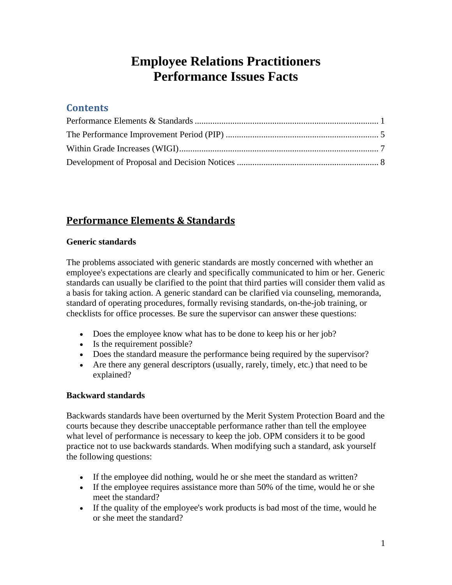# **Employee Relations Practitioners Performance Issues Facts**

### **Contents**

## **Performance Elements & Standards**

#### **Generic standards**

The problems associated with generic standards are mostly concerned with whether an employee's expectations are clearly and specifically communicated to him or her. Generic standards can usually be clarified to the point that third parties will consider them valid as a basis for taking action. A generic standard can be clarified via counseling, memoranda, standard of operating procedures, formally revising standards, on-the-job training, or checklists for office processes. Be sure the supervisor can answer these questions:

- Does the employee know what has to be done to keep his or her job?
- Is the requirement possible?
- Does the standard measure the performance being required by the supervisor?
- explained? Are there any general descriptors (usually, rarely, timely, etc.) that need to be

#### **Backward standards**

Backwards standards have been overturned by the Merit System Protection Board and the courts because they describe unacceptable performance rather than tell the employee what level of performance is necessary to keep the job. OPM considers it to be good practice not to use backwards standards. When modifying such a standard, ask yourself the following questions:

- If the employee did nothing, would he or she meet the standard as written?
- If the employee requires assistance more than 50% of the time, would he or she meet the standard?
- If the quality of the employee's work products is bad most of the time, would he or she meet the standard?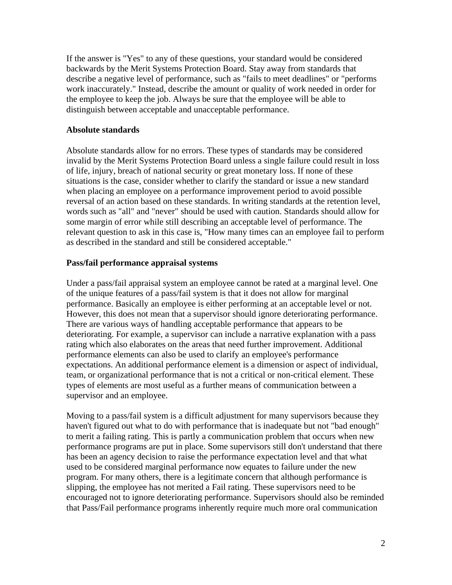If the answer is "Yes" to any of these questions, your standard would be considered backwards by the Merit Systems Protection Board. Stay away from standards that describe a negative level of performance, such as "fails to meet deadlines" or "performs work inaccurately." Instead, describe the amount or quality of work needed in order for the employee to keep the job. Always be sure that the employee will be able to distinguish between acceptable and unacceptable performance.

#### **Absolute standards**

Absolute standards allow for no errors. These types of standards may be considered invalid by the Merit Systems Protection Board unless a single failure could result in loss of life, injury, breach of national security or great monetary loss. If none of these situations is the case, consider whether to clarify the standard or issue a new standard when placing an employee on a performance improvement period to avoid possible reversal of an action based on these standards. In writing standards at the retention level, words such as "all" and "never" should be used with caution. Standards should allow for some margin of error while still describing an acceptable level of performance. The relevant question to ask in this case is, "How many times can an employee fail to perform as described in the standard and still be considered acceptable."

#### **Pass/fail performance appraisal systems**

Under a pass/fail appraisal system an employee cannot be rated at a marginal level. One of the unique features of a pass/fail system is that it does not allow for marginal performance. Basically an employee is either performing at an acceptable level or not. However, this does not mean that a supervisor should ignore deteriorating performance. There are various ways of handling acceptable performance that appears to be deteriorating. For example, a supervisor can include a narrative explanation with a pass rating which also elaborates on the areas that need further improvement. Additional performance elements can also be used to clarify an employee's performance expectations. An additional performance element is a dimension or aspect of individual, team, or organizational performance that is not a critical or non-critical element. These types of elements are most useful as a further means of communication between a supervisor and an employee.

Moving to a pass/fail system is a difficult adjustment for many supervisors because they haven't figured out what to do with performance that is inadequate but not "bad enough" to merit a failing rating. This is partly a communication problem that occurs when new performance programs are put in place. Some supervisors still don't understand that there has been an agency decision to raise the performance expectation level and that what used to be considered marginal performance now equates to failure under the new program. For many others, there is a legitimate concern that although performance is slipping, the employee has not merited a Fail rating. These supervisors need to be encouraged not to ignore deteriorating performance. Supervisors should also be reminded that Pass/Fail performance programs inherently require much more oral communication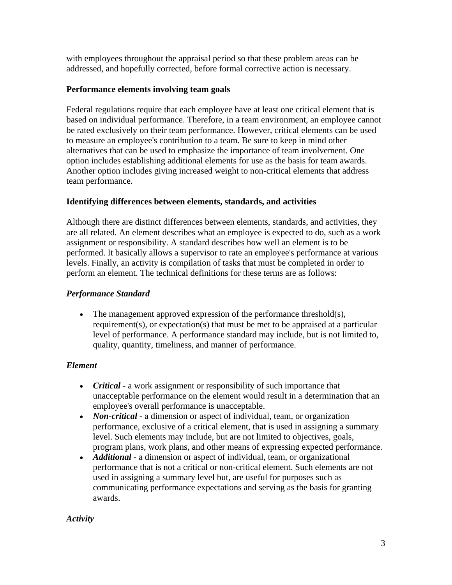with employees throughout the appraisal period so that these problem areas can be addressed, and hopefully corrected, before formal corrective action is necessary.

#### **Performance elements involving team goals**

Federal regulations require that each employee have at least one critical element that is based on individual performance. Therefore, in a team environment, an employee cannot be rated exclusively on their team performance. However, critical elements can be used to measure an employee's contribution to a team. Be sure to keep in mind other alternatives that can be used to emphasize the importance of team involvement. One option includes establishing additional elements for use as the basis for team awards. Another option includes giving increased weight to non-critical elements that address team performance.

#### **Identifying differences between elements, standards, and activities**

Although there are distinct differences between elements, standards, and activities, they are all related. An element describes what an employee is expected to do, such as a work assignment or responsibility. A standard describes how well an element is to be performed. It basically allows a supervisor to rate an employee's performance at various levels. Finally, an activity is compilation of tasks that must be completed in order to perform an element. The technical definitions for these terms are as follows:

#### *Performance Standard*

• The management approved expression of the performance threshold(s), requirement(s), or expectation(s) that must be met to be appraised at a particular level of performance. A performance standard may include, but is not limited to, quality, quantity, timeliness, and manner of performance.

#### *Element*

- employee's overall performance is unacceptable. • *Critical* - a work assignment or responsibility of such importance that unacceptable performance on the element would result in a determination that an
- *Non-critical* a dimension or aspect of individual, team, or organization performance, exclusive of a critical element, that is used in assigning a summary level. Such elements may include, but are not limited to objectives, goals, program plans, work plans, and other means of expressing expected performance.
- *Additional* a dimension or aspect of individual, team, or organizational performance that is not a critical or non-critical element. Such elements are not used in assigning a summary level but, are useful for purposes such as communicating performance expectations and serving as the basis for granting awards.

#### *Activity*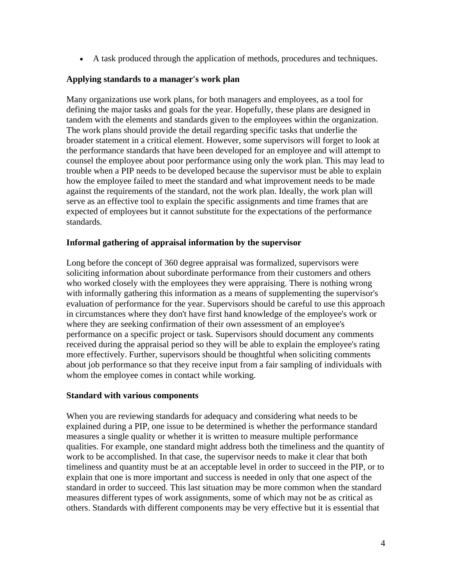A task produced through the application of methods, procedures and techniques.

#### **Applying standards to a manager's work plan**

Many organizations use work plans, for both managers and employees, as a tool for defining the major tasks and goals for the year. Hopefully, these plans are designed in tandem with the elements and standards given to the employees within the organization. The work plans should provide the detail regarding specific tasks that underlie the broader statement in a critical element. However, some supervisors will forget to look at the performance standards that have been developed for an employee and will attempt to counsel the employee about poor performance using only the work plan. This may lead to trouble when a PIP needs to be developed because the supervisor must be able to explain how the employee failed to meet the standard and what improvement needs to be made against the requirements of the standard, not the work plan. Ideally, the work plan will serve as an effective tool to explain the specific assignments and time frames that are expected of employees but it cannot substitute for the expectations of the performance standards.

#### **Informal gathering of appraisal information by the supervisor**

Long before the concept of 360 degree appraisal was formalized, supervisors were soliciting information about subordinate performance from their customers and others who worked closely with the employees they were appraising. There is nothing wrong with informally gathering this information as a means of supplementing the supervisor's evaluation of performance for the year. Supervisors should be careful to use this approach in circumstances where they don't have first hand knowledge of the employee's work or where they are seeking confirmation of their own assessment of an employee's performance on a specific project or task. Supervisors should document any comments received during the appraisal period so they will be able to explain the employee's rating more effectively. Further, supervisors should be thoughtful when soliciting comments about job performance so that they receive input from a fair sampling of individuals with whom the employee comes in contact while working.

#### **Standard with various components**

When you are reviewing standards for adequacy and considering what needs to be explained during a PIP, one issue to be determined is whether the performance standard measures a single quality or whether it is written to measure multiple performance qualities. For example, one standard might address both the timeliness and the quantity of work to be accomplished. In that case, the supervisor needs to make it clear that both timeliness and quantity must be at an acceptable level in order to succeed in the PIP, or to explain that one is more important and success is needed in only that one aspect of the standard in order to succeed. This last situation may be more common when the standard measures different types of work assignments, some of which may not be as critical as others. Standards with different components may be very effective but it is essential that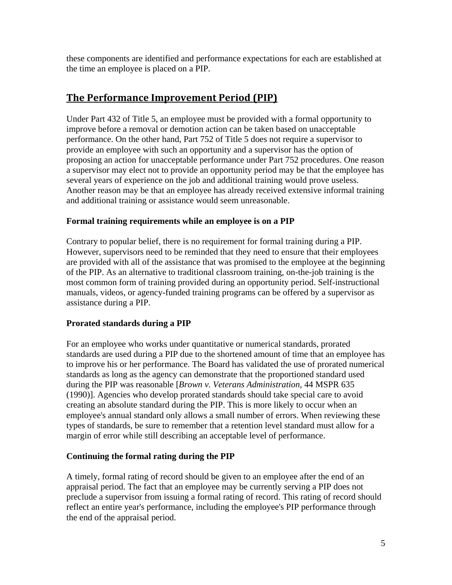these components are identified and performance expectations for each are established at the time an employee is placed on a PIP.

## **The Performance Improvement Period (PIP)**

Under Part 432 of Title 5, an employee must be provided with a formal opportunity to improve before a removal or demotion action can be taken based on unacceptable performance. On the other hand, Part 752 of Title 5 does not require a supervisor to provide an employee with such an opportunity and a supervisor has the option of proposing an action for unacceptable performance under Part 752 procedures. One reason a supervisor may elect not to provide an opportunity period may be that the employee has several years of experience on the job and additional training would prove useless. Another reason may be that an employee has already received extensive informal training and additional training or assistance would seem unreasonable.

#### **Formal training requirements while an employee is on a PIP**

Contrary to popular belief, there is no requirement for formal training during a PIP. However, supervisors need to be reminded that they need to ensure that their employees are provided with all of the assistance that was promised to the employee at the beginning of the PIP. As an alternative to traditional classroom training, on-the-job training is the most common form of training provided during an opportunity period. Self-instructional manuals, videos, or agency-funded training programs can be offered by a supervisor as assistance during a PIP.

#### **Prorated standards during a PIP**

For an employee who works under quantitative or numerical standards, prorated standards are used during a PIP due to the shortened amount of time that an employee has to improve his or her performance. The Board has validated the use of prorated numerical standards as long as the agency can demonstrate that the proportioned standard used during the PIP was reasonable [*Brown v. Veterans Administration*, 44 MSPR 635 (1990)]. Agencies who develop prorated standards should take special care to avoid creating an absolute standard during the PIP. This is more likely to occur when an employee's annual standard only allows a small number of errors. When reviewing these types of standards, be sure to remember that a retention level standard must allow for a margin of error while still describing an acceptable level of performance.

#### **Continuing the formal rating during the PIP**

A timely, formal rating of record should be given to an employee after the end of an appraisal period. The fact that an employee may be currently serving a PIP does not preclude a supervisor from issuing a formal rating of record. This rating of record should reflect an entire year's performance, including the employee's PIP performance through the end of the appraisal period.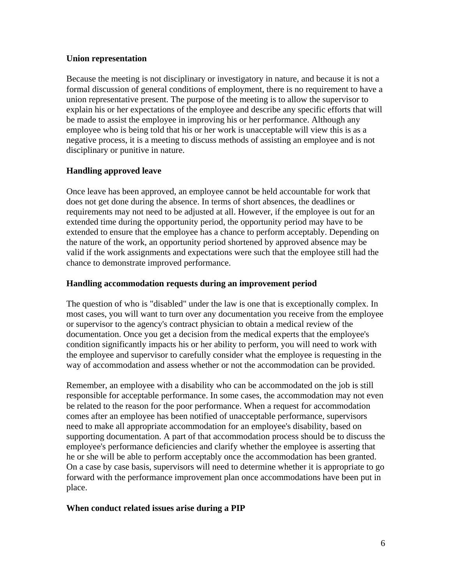#### **Union representation**

Because the meeting is not disciplinary or investigatory in nature, and because it is not a formal discussion of general conditions of employment, there is no requirement to have a union representative present. The purpose of the meeting is to allow the supervisor to explain his or her expectations of the employee and describe any specific efforts that will be made to assist the employee in improving his or her performance. Although any employee who is being told that his or her work is unacceptable will view this is as a negative process, it is a meeting to discuss methods of assisting an employee and is not disciplinary or punitive in nature.

#### **Handling approved leave**

Once leave has been approved, an employee cannot be held accountable for work that does not get done during the absence. In terms of short absences, the deadlines or requirements may not need to be adjusted at all. However, if the employee is out for an extended time during the opportunity period, the opportunity period may have to be extended to ensure that the employee has a chance to perform acceptably. Depending on the nature of the work, an opportunity period shortened by approved absence may be valid if the work assignments and expectations were such that the employee still had the chance to demonstrate improved performance.

#### **Handling accommodation requests during an improvement period**

The question of who is "disabled" under the law is one that is exceptionally complex. In most cases, you will want to turn over any documentation you receive from the employee or supervisor to the agency's contract physician to obtain a medical review of the documentation. Once you get a decision from the medical experts that the employee's condition significantly impacts his or her ability to perform, you will need to work with the employee and supervisor to carefully consider what the employee is requesting in the way of accommodation and assess whether or not the accommodation can be provided.

Remember, an employee with a disability who can be accommodated on the job is still responsible for acceptable performance. In some cases, the accommodation may not even be related to the reason for the poor performance. When a request for accommodation comes after an employee has been notified of unacceptable performance, supervisors need to make all appropriate accommodation for an employee's disability, based on supporting documentation. A part of that accommodation process should be to discuss the employee's performance deficiencies and clarify whether the employee is asserting that he or she will be able to perform acceptably once the accommodation has been granted. On a case by case basis, supervisors will need to determine whether it is appropriate to go forward with the performance improvement plan once accommodations have been put in place.

#### **When conduct related issues arise during a PIP**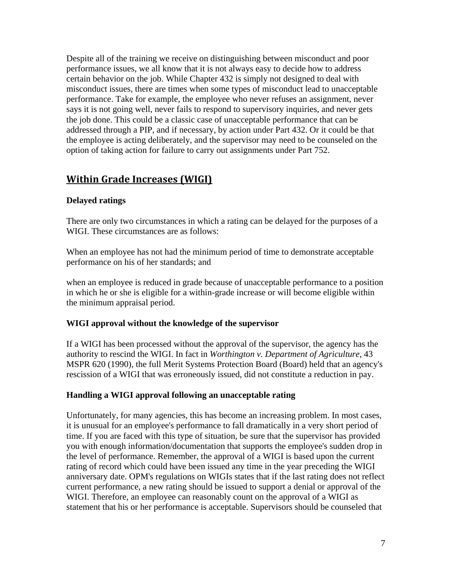Despite all of the training we receive on distinguishing between misconduct and poor performance issues, we all know that it is not always easy to decide how to address certain behavior on the job. While Chapter 432 is simply not designed to deal with misconduct issues, there are times when some types of misconduct lead to unacceptable performance. Take for example, the employee who never refuses an assignment, never says it is not going well, never fails to respond to supervisory inquiries, and never gets the job done. This could be a classic case of unacceptable performance that can be addressed through a PIP, and if necessary, by action under Part 432. Or it could be that the employee is acting deliberately, and the supervisor may need to be counseled on the option of taking action for failure to carry out assignments under Part 752.

## **Within Grade Increases (WIGI)**

#### **Delayed ratings**

There are only two circumstances in which a rating can be delayed for the purposes of a WIGI. These circumstances are as follows:

When an employee has not had the minimum period of time to demonstrate acceptable performance on his of her standards; and

when an employee is reduced in grade because of unacceptable performance to a position in which he or she is eligible for a within-grade increase or will become eligible within the minimum appraisal period.

#### **WIGI approval without the knowledge of the supervisor**

 rescission of a WIGI that was erroneously issued, did not constitute a reduction in pay. If a WIGI has been processed without the approval of the supervisor, the agency has the authority to rescind the WIGI. In fact in *Worthington v. Department of Agriculture*, 43 MSPR 620 (1990), the full Merit Systems Protection Board (Board) held that an agency's

#### **Handling a WIGI approval following an unacceptable rating**

Unfortunately, for many agencies, this has become an increasing problem. In most cases, it is unusual for an employee's performance to fall dramatically in a very short period of time. If you are faced with this type of situation, be sure that the supervisor has provided you with enough information/documentation that supports the employee's sudden drop in the level of performance. Remember, the approval of a WIGI is based upon the current rating of record which could have been issued any time in the year preceding the WIGI anniversary date. OPM's regulations on WIGIs states that if the last rating does not reflect current performance, a new rating should be issued to support a denial or approval of the WIGI. Therefore, an employee can reasonably count on the approval of a WIGI as statement that his or her performance is acceptable. Supervisors should be counseled that